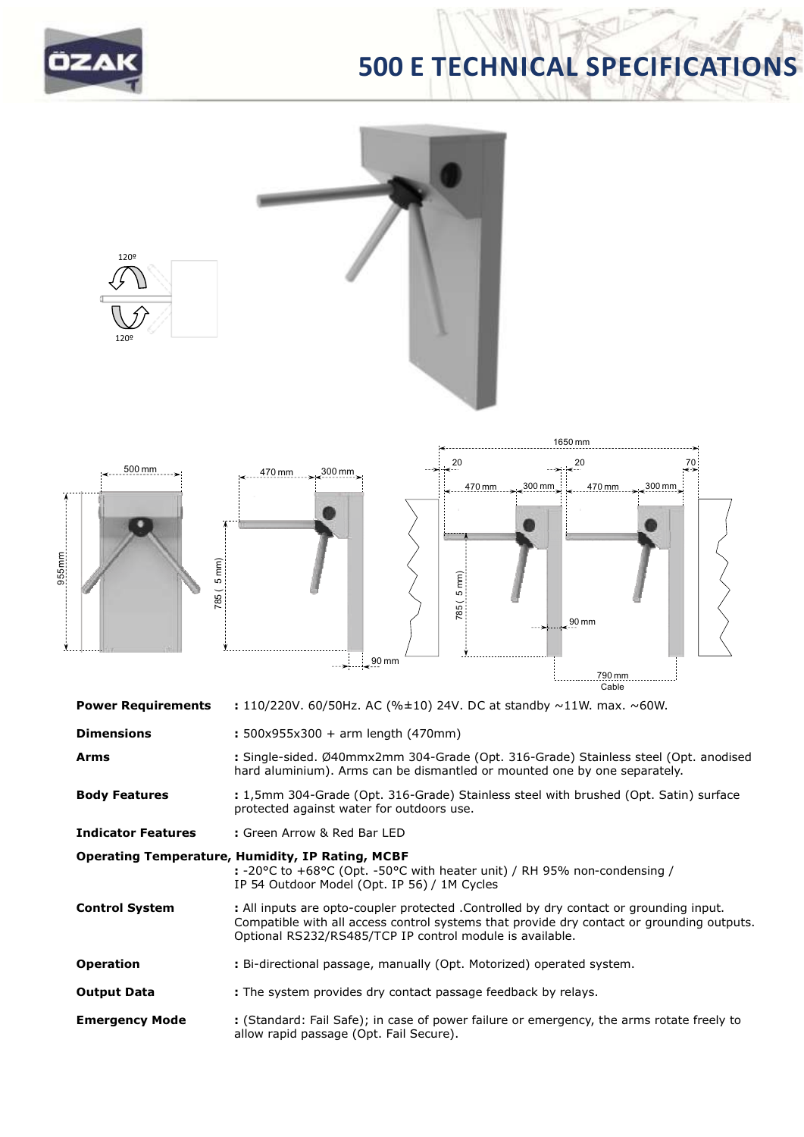

# **500 E TECHNICAL SPECIFICATIONS**



**Arms :** Single-sided. Ø40mmx2mm 304-Grade (Opt. 316-Grade) Stainless steel (Opt. anodised hard aluminium). Arms can be dismantled or mounted one by one separately.

**Body Features :** 1,5mm 304-Grade (Opt. 316-Grade) Stainless steel with brushed (Opt. Satin) surface protected against water for outdoors use.

**Indicator Features :** Green Arrow & Red Bar LED

### **Operating Temperature, Humidity, IP Rating, MCBF**

**:** -20°C to +68°C (Opt. -50°C with heater unit) / RH 95% non-condensing / IP 54 Outdoor Model (Opt. IP 56) / 1M Cycles

- **Control System :** All inputs are opto-coupler protected .Controlled by dry contact or grounding input. Compatible with all access control systems that provide dry contact or grounding outputs. Optional RS232/RS485/TCP IP control module is available.
- **Operation :** Bi-directional passage, manually (Opt. Motorized) operated system.
- **Output Data** : The system provides dry contact passage feedback by relays.
- **Emergency Mode :** (Standard: Fail Safe); in case of power failure or emergency, the arms rotate freely to allow rapid passage (Opt. Fail Secure).